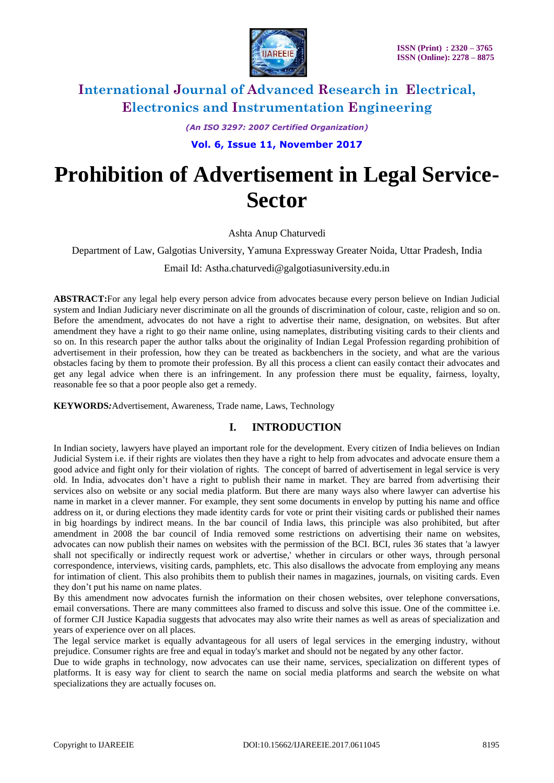

*(An ISO 3297: 2007 Certified Organization)*

**Vol. 6, Issue 11, November 2017**

# **Prohibition of Advertisement in Legal Service-Sector**

Ashta Anup Chaturvedi

Department of Law, Galgotias University, Yamuna Expressway Greater Noida, Uttar Pradesh, India

Email Id: Astha.chaturvedi@galgotiasuniversity.edu.in

**ABSTRACT:**For any legal help every person advice from advocates because every person believe on Indian Judicial system and Indian Judiciary never discriminate on all the grounds of discrimination of colour, caste, religion and so on. Before the amendment, advocates do not have a right to advertise their name, designation, on websites. But after amendment they have a right to go their name online, using nameplates, distributing visiting cards to their clients and so on. In this research paper the author talks about the originality of Indian Legal Profession regarding prohibition of advertisement in their profession, how they can be treated as backbenchers in the society, and what are the various obstacles facing by them to promote their profession. By all this process a client can easily contact their advocates and get any legal advice when there is an infringement. In any profession there must be equality, fairness, loyalty, reasonable fee so that a poor people also get a remedy.

**KEYWORDS***:*Advertisement, Awareness, Trade name, Laws, Technology

# **I. INTRODUCTION**

In Indian society, lawyers have played an important role for the development. Every citizen of India believes on Indian Judicial System i.e. if their rights are violates then they have a right to help from advocates and advocate ensure them a good advice and fight only for their violation of rights. The concept of barred of advertisement in legal service is very old. In India, advocates don't have a right to publish their name in market. They are barred from advertising their services also on website or any social media platform. But there are many ways also where lawyer can advertise his name in market in a clever manner. For example, they sent some documents in envelop by putting his name and office address on it, or during elections they made identity cards for vote or print their visiting cards or published their names in big hoardings by indirect means. In the bar council of India laws, this principle was also prohibited, but after amendment in 2008 the bar council of India removed some restrictions on advertising their name on websites, advocates can now publish their names on websites with the permission of the BCI. BCI, rules 36 states that 'a lawyer shall not specifically or indirectly request work or advertise,' whether in circulars or other ways, through personal correspondence, interviews, visiting cards, pamphlets, etc. This also disallows the advocate from employing any means for intimation of client. This also prohibits them to publish their names in magazines, journals, on visiting cards. Even they don't put his name on name plates.

By this amendment now advocates furnish the information on their chosen websites, over telephone conversations, email conversations. There are many committees also framed to discuss and solve this issue. One of the committee i.e. of former CJI Justice Kapadia suggests that advocates may also write their names as well as areas of specialization and years of experience over on all places.

The legal service market is equally advantageous for all users of legal services in the emerging industry, without prejudice. Consumer rights are free and equal in today's market and should not be negated by any other factor.

Due to wide graphs in technology, now advocates can use their name, services, specialization on different types of platforms. It is easy way for client to search the name on social media platforms and search the website on what specializations they are actually focuses on.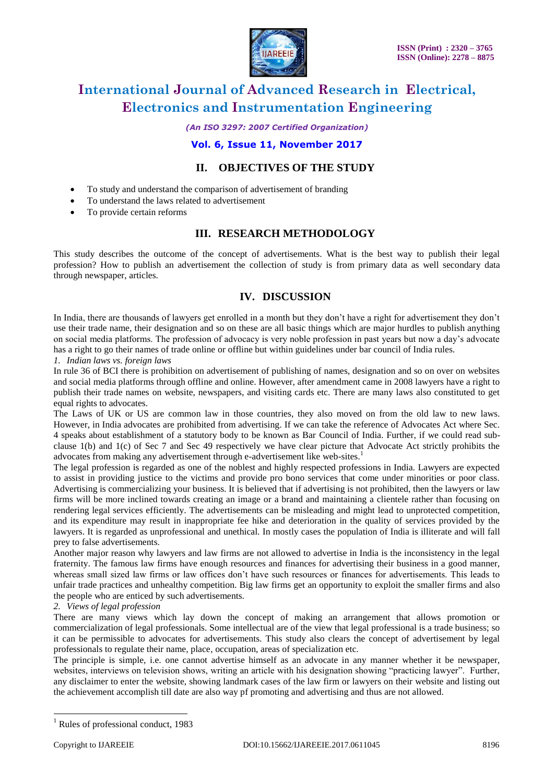

*(An ISO 3297: 2007 Certified Organization)*

### **Vol. 6, Issue 11, November 2017**

### **II. OBJECTIVES OF THE STUDY**

- To study and understand the comparison of advertisement of branding
- To understand the laws related to advertisement
- To provide certain reforms

### **III. RESEARCH METHODOLOGY**

This study describes the outcome of the concept of advertisements. What is the best way to publish their legal profession? How to publish an advertisement the collection of study is from primary data as well secondary data through newspaper, articles.

# **IV. DISCUSSION**

In India, there are thousands of lawyers get enrolled in a month but they don't have a right for advertisement they don't use their trade name, their designation and so on these are all basic things which are major hurdles to publish anything on social media platforms. The profession of advocacy is very noble profession in past years but now a day's advocate has a right to go their names of trade online or offline but within guidelines under bar council of India rules.

*1. Indian laws vs. foreign laws*

In rule 36 of BCI there is prohibition on advertisement of publishing of names, designation and so on over on websites and social media platforms through offline and online. However, after amendment came in 2008 lawyers have a right to publish their trade names on website, newspapers, and visiting cards etc. There are many laws also constituted to get equal rights to advocates.

The Laws of UK or US are common law in those countries, they also moved on from the old law to new laws. However, in India advocates are prohibited from advertising. If we can take the reference of Advocates Act where Sec. 4 speaks about establishment of a statutory body to be known as Bar Council of India. Further, if we could read subclause 1(b) and 1(c) of Sec 7 and Sec 49 respectively we have clear picture that Advocate Act strictly prohibits the advocates from making any advertisement through e-advertisement like web-sites.<sup>1</sup>

The legal profession is regarded as one of the noblest and highly respected professions in India. Lawyers are expected to assist in providing justice to the victims and provide pro bono services that come under minorities or poor class. Advertising is commercializing your business. It is believed that if advertising is not prohibited, then the lawyers or law firms will be more inclined towards creating an image or a brand and maintaining a clientele rather than focusing on rendering legal services efficiently. The advertisements can be misleading and might lead to unprotected competition, and its expenditure may result in inappropriate fee hike and deterioration in the quality of services provided by the lawyers. It is regarded as unprofessional and unethical. In mostly cases the population of India is illiterate and will fall prey to false advertisements.

Another major reason why lawyers and law firms are not allowed to advertise in India is the inconsistency in the legal fraternity. The famous law firms have enough resources and finances for advertising their business in a good manner, whereas small sized law firms or law offices don't have such resources or finances for advertisements. This leads to unfair trade practices and unhealthy competition. Big law firms get an opportunity to exploit the smaller firms and also the people who are enticed by such advertisements.

#### *2. Views of legal profession*

There are many views which lay down the concept of making an arrangement that allows promotion or commercialization of legal professionals. Some intellectual are of the view that legal professional is a trade business; so it can be permissible to advocates for advertisements. This study also clears the concept of advertisement by legal professionals to regulate their name, place, occupation, areas of specialization etc.

The principle is simple, i.e. one cannot advertise himself as an advocate in any manner whether it be newspaper, websites, interviews on television shows, writing an article with his designation showing "practicing lawyer". Further, any disclaimer to enter the website, showing landmark cases of the law firm or lawyers on their website and listing out the achievement accomplish till date are also way pf promoting and advertising and thus are not allowed.

 $\overline{a}$ 

 $<sup>1</sup>$  Rules of professional conduct, 1983</sup>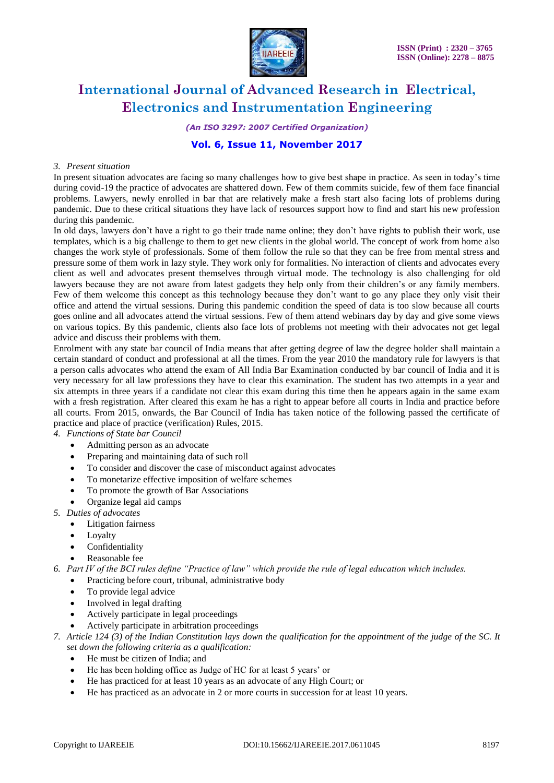

*(An ISO 3297: 2007 Certified Organization)*

### **Vol. 6, Issue 11, November 2017**

#### *3. Present situation*

In present situation advocates are facing so many challenges how to give best shape in practice. As seen in today's time during covid-19 the practice of advocates are shattered down. Few of them commits suicide, few of them face financial problems. Lawyers, newly enrolled in bar that are relatively make a fresh start also facing lots of problems during pandemic. Due to these critical situations they have lack of resources support how to find and start his new profession during this pandemic.

In old days, lawyers don't have a right to go their trade name online; they don't have rights to publish their work, use templates, which is a big challenge to them to get new clients in the global world. The concept of work from home also changes the work style of professionals. Some of them follow the rule so that they can be free from mental stress and pressure some of them work in lazy style. They work only for formalities. No interaction of clients and advocates every client as well and advocates present themselves through virtual mode. The technology is also challenging for old lawyers because they are not aware from latest gadgets they help only from their children's or any family members. Few of them welcome this concept as this technology because they don't want to go any place they only visit their office and attend the virtual sessions. During this pandemic condition the speed of data is too slow because all courts goes online and all advocates attend the virtual sessions. Few of them attend webinars day by day and give some views on various topics. By this pandemic, clients also face lots of problems not meeting with their advocates not get legal advice and discuss their problems with them.

Enrolment with any state bar council of India means that after getting degree of law the degree holder shall maintain a certain standard of conduct and professional at all the times. From the year 2010 the mandatory rule for lawyers is that a person calls advocates who attend the exam of All India Bar Examination conducted by bar council of India and it is very necessary for all law professions they have to clear this examination. The student has two attempts in a year and six attempts in three years if a candidate not clear this exam during this time then he appears again in the same exam with a fresh registration. After cleared this exam he has a right to appear before all courts in India and practice before all courts. From 2015, onwards, the Bar Council of India has taken notice of the following passed the certificate of practice and place of practice (verification) Rules, 2015.

*4. Functions of State bar Council*

- Admitting person as an advocate
- Preparing and maintaining data of such roll
- To consider and discover the case of misconduct against advocates
- To monetarize effective imposition of welfare schemes
- To promote the growth of Bar Associations
- Organize legal aid camps
- *5. Duties of advocates*
	- Litigation fairness
	- Lovalty
	- Confidentiality
	- Reasonable fee
- *6. Part IV of the BCI rules define "Practice of law" which provide the rule of legal education which includes.*
	- Practicing before court, tribunal, administrative body
		- To provide legal advice
		- Involved in legal drafting
		- Actively participate in legal proceedings
		- Actively participate in arbitration proceedings
- *7. Article 124 (3) of the Indian Constitution lays down the qualification for the appointment of the judge of the SC. It set down the following criteria as a qualification:*
	- He must be citizen of India; and
	- He has been holding office as Judge of HC for at least 5 years' or
	- He has practiced for at least 10 years as an advocate of any High Court; or
	- He has practiced as an advocate in 2 or more courts in succession for at least 10 years.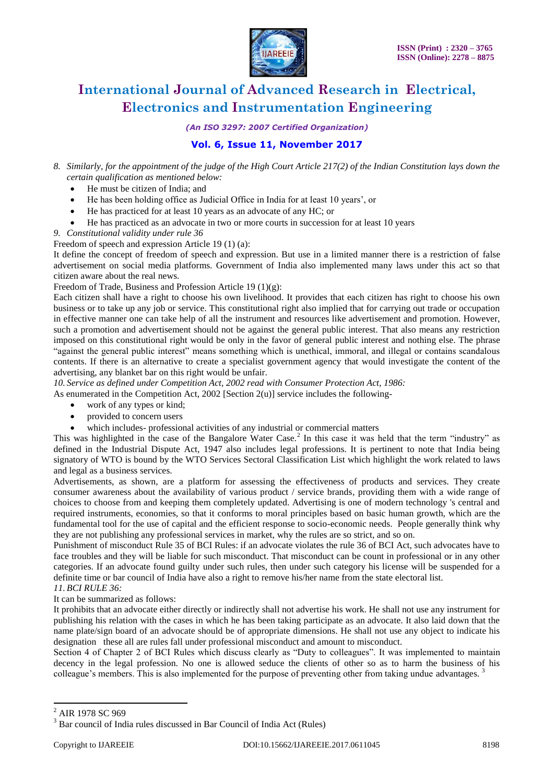

*(An ISO 3297: 2007 Certified Organization)*

## **Vol. 6, Issue 11, November 2017**

- *8. Similarly, for the appointment of the judge of the High Court Article 217(2) of the Indian Constitution lays down the certain qualification as mentioned below:*
	- He must be citizen of India; and
	- He has been holding office as Judicial Office in India for at least 10 years', or
	- He has practiced for at least 10 years as an advocate of any HC; or
	- He has practiced as an advocate in two or more courts in succession for at least 10 years
- *9. Constitutional validity under rule 36*

Freedom of speech and expression Article 19 (1) (a):

It define the concept of freedom of speech and expression. But use in a limited manner there is a restriction of false advertisement on social media platforms. Government of India also implemented many laws under this act so that citizen aware about the real news.

Freedom of Trade, Business and Profession Article 19 (1)(g):

Each citizen shall have a right to choose his own livelihood. It provides that each citizen has right to choose his own business or to take up any job or service. This constitutional right also implied that for carrying out trade or occupation in effective manner one can take help of all the instrument and resources like advertisement and promotion. However, such a promotion and advertisement should not be against the general public interest. That also means any restriction imposed on this constitutional right would be only in the favor of general public interest and nothing else. The phrase "against the general public interest" means something which is unethical, immoral, and illegal or contains scandalous contents. If there is an alternative to create a specialist government agency that would investigate the content of the advertising, any blanket bar on this right would be unfair.

*10. Service as defined under Competition Act, 2002 read with Consumer Protection Act, 1986:*  As enumerated in the Competition Act, 2002 [Section  $2(u)$ ] service includes the following-

- work of any types or kind;
- provided to concern users
- which includes- professional activities of any industrial or commercial matters

This was highlighted in the case of the Bangalore Water Case.<sup>2</sup> In this case it was held that the term "industry" as defined in the Industrial Dispute Act, 1947 also includes legal professions. It is pertinent to note that India being signatory of WTO is bound by the WTO Services Sectoral Classification List which highlight the work related to laws and legal as a business services.

Advertisements, as shown, are a platform for assessing the effectiveness of products and services. They create consumer awareness about the availability of various product / service brands, providing them with a wide range of choices to choose from and keeping them completely updated. Advertising is one of modern technology 's central and required instruments, economies, so that it conforms to moral principles based on basic human growth, which are the fundamental tool for the use of capital and the efficient response to socio-economic needs. People generally think why they are not publishing any professional services in market, why the rules are so strict, and so on.

Punishment of misconduct Rule 35 of BCI Rules: if an advocate violates the rule 36 of BCI Act, such advocates have to face troubles and they will be liable for such misconduct. That misconduct can be count in professional or in any other categories. If an advocate found guilty under such rules, then under such category his license will be suspended for a definite time or bar council of India have also a right to remove his/her name from the state electoral list. *11. BCI RULE 36:* 

# It can be summarized as follows:

It prohibits that an advocate either directly or indirectly shall not advertise his work. He shall not use any instrument for publishing his relation with the cases in which he has been taking participate as an advocate. It also laid down that the name plate/sign board of an advocate should be of appropriate dimensions. He shall not use any object to indicate his designation these all are rules fall under professional misconduct and amount to misconduct.

Section 4 of Chapter 2 of BCI Rules which discuss clearly as "Duty to colleagues". It was implemented to maintain decency in the legal profession. No one is allowed seduce the clients of other so as to harm the business of his colleague's members. This is also implemented for the purpose of preventing other from taking undue advantages.

 $\overline{a}$ 

<sup>&</sup>lt;sup>2</sup> AIR 1978 SC 969

<sup>3</sup> Bar council of India rules discussed in Bar Council of India Act (Rules)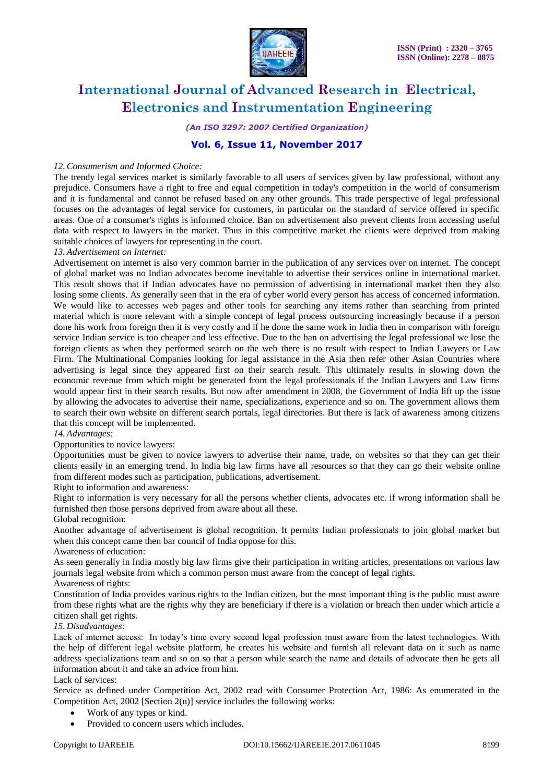

*(An ISO 3297: 2007 Certified Organization)*

### **Vol. 6, Issue 11, November 2017**

#### *12.Consumerism and Informed Choice:*

The trendy legal services market is similarly favorable to all users of services given by law professional, without any prejudice. Consumers have a right to free and equal competition in today's competition in the world of consumerism and it is fundamental and cannot be refused based on any other grounds. This trade perspective of legal professional focuses on the advantages of legal service for customers, in particular on the standard of service offered in specific areas. One of a consumer's rights is informed choice. Ban on advertisement also prevent clients from accessing useful data with respect to lawyers in the market. Thus in this competitive market the clients were deprived from making suitable choices of lawyers for representing in the court.

#### *13. Advertisement on Internet:*

Advertisement on internet is also very common barrier in the publication of any services over on internet. The concept of global market was no Indian advocates become inevitable to advertise their services online in international market. This result shows that if Indian advocates have no permission of advertising in international market then they also losing some clients. As generally seen that in the era of cyber world every person has access of concerned information. We would like to accesses web pages and other tools for searching any items rather than searching from printed material which is more relevant with a simple concept of legal process outsourcing increasingly because if a person done his work from foreign then it is very costly and if he done the same work in India then in comparison with foreign service Indian service is too cheaper and less effective. Due to the ban on advertising the legal professional we lose the foreign clients as when they performed search on the web there is no result with respect to Indian Lawyers or Law Firm. The Multinational Companies looking for legal assistance in the Asia then refer other Asian Countries where advertising is legal since they appeared first on their search result. This ultimately results in slowing down the economic revenue from which might be generated from the legal professionals if the Indian Lawyers and Law firms would appear first in their search results. But now after amendment in 2008, the Government of India lift up the issue by allowing the advocates to advertise their name, specializations, experience and so on. The government allows them to search their own website on different search portals, legal directories. But there is lack of awareness among citizens that this concept will be implemented.

#### *14. Advantages:*

#### Opportunities to novice lawyers:

Opportunities must be given to novice lawyers to advertise their name, trade, on websites so that they can get their clients easily in an emerging trend. In India big law firms have all resources so that they can go their website online from different modes such as participation, publications, advertisement.

Right to information and awareness:

Right to information is very necessary for all the persons whether clients, advocates etc. if wrong information shall be furnished then those persons deprived from aware about all these.

#### Global recognition:

Another advantage of advertisement is global recognition. It permits Indian professionals to join global market but when this concept came then bar council of India oppose for this.

#### Awareness of education:

As seen generally in India mostly big law firms give their participation in writing articles, presentations on various law journals legal website from which a common person must aware from the concept of legal rights.

Awareness of rights:

Constitution of India provides various rights to the Indian citizen, but the most important thing is the public must aware from these rights what are the rights why they are beneficiary if there is a violation or breach then under which article a citizen shall get rights.

#### *15. Disadvantages:*

Lack of internet access: In today's time every second legal profession must aware from the latest technologies. With the help of different legal website platform, he creates his website and furnish all relevant data on it such as name address specializations team and so on so that a person while search the name and details of advocate then he gets all information about it and take an advice from him.

#### Lack of services:

Service as defined under Competition Act, 2002 read with Consumer Protection Act, 1986: As enumerated in the Competition Act, 2002 [Section 2(u)] service includes the following works:

- Work of any types or kind.
- Provided to concern users which includes.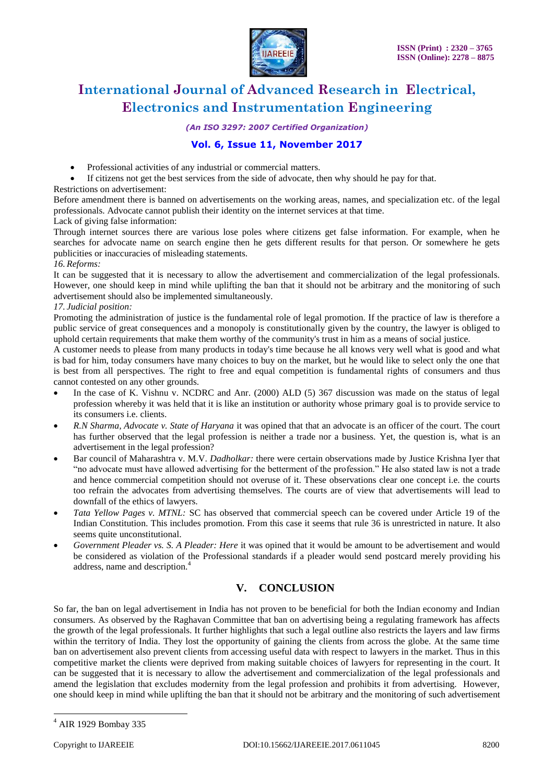

*(An ISO 3297: 2007 Certified Organization)*

## **Vol. 6, Issue 11, November 2017**

- Professional activities of any industrial or commercial matters.
- If citizens not get the best services from the side of advocate, then why should he pay for that.

#### Restrictions on advertisement:

Before amendment there is banned on advertisements on the working areas, names, and specialization etc. of the legal professionals. Advocate cannot publish their identity on the internet services at that time.

#### Lack of giving false information:

Through internet sources there are various lose poles where citizens get false information. For example, when he searches for advocate name on search engine then he gets different results for that person. Or somewhere he gets publicities or inaccuracies of misleading statements.

#### *16. Reforms:*

It can be suggested that it is necessary to allow the advertisement and commercialization of the legal professionals. However, one should keep in mind while uplifting the ban that it should not be arbitrary and the monitoring of such advertisement should also be implemented simultaneously.

#### *17. Judicial position:*

Promoting the administration of justice is the fundamental role of legal promotion. If the practice of law is therefore a public service of great consequences and a monopoly is constitutionally given by the country, the lawyer is obliged to uphold certain requirements that make them worthy of the community's trust in him as a means of social justice.

A customer needs to please from many products in today's time because he all knows very well what is good and what is bad for him, today consumers have many choices to buy on the market, but he would like to select only the one that is best from all perspectives. The right to free and equal competition is fundamental rights of consumers and thus cannot contested on any other grounds.

- In the case of K. Vishnu v. NCDRC and Anr. (2000) ALD (5) 367 discussion was made on the status of legal profession whereby it was held that it is like an institution or authority whose primary goal is to provide service to its consumers i.e. clients.
- *R.N Sharma, Advocate v. State of Haryana* it was opined that that an advocate is an officer of the court. The court has further observed that the legal profession is neither a trade nor a business. Yet, the question is, what is an advertisement in the legal profession?
- Bar council of Maharashtra v. M.V. *Dadholkar:* there were certain observations made by Justice Krishna Iyer that "no advocate must have allowed advertising for the betterment of the profession." He also stated law is not a trade and hence commercial competition should not overuse of it. These observations clear one concept i.e. the courts too refrain the advocates from advertising themselves. The courts are of view that advertisements will lead to downfall of the ethics of lawyers.
- *Tata Yellow Pages v. MTNL:* SC has observed that commercial speech can be covered under Article 19 of the Indian Constitution. This includes promotion. From this case it seems that rule 36 is unrestricted in nature. It also seems quite unconstitutional.
- *Government Pleader vs. S. A Pleader: Here* it was opined that it would be amount to be advertisement and would be considered as violation of the Professional standards if a pleader would send postcard merely providing his address, name and description.<sup>4</sup>

# **V. CONCLUSION**

So far, the ban on legal advertisement in India has not proven to be beneficial for both the Indian economy and Indian consumers. As observed by the Raghavan Committee that ban on advertising being a regulating framework has affects the growth of the legal professionals. It further highlights that such a legal outline also restricts the layers and law firms within the territory of India. They lost the opportunity of gaining the clients from across the globe. At the same time ban on advertisement also prevent clients from accessing useful data with respect to lawyers in the market. Thus in this competitive market the clients were deprived from making suitable choices of lawyers for representing in the court. It can be suggested that it is necessary to allow the advertisement and commercialization of the legal professionals and amend the legislation that excludes modernity from the legal profession and prohibits it from advertising. However, one should keep in mind while uplifting the ban that it should not be arbitrary and the monitoring of such advertisement

 $\overline{a}$ 

<sup>4</sup> AIR 1929 Bombay 335